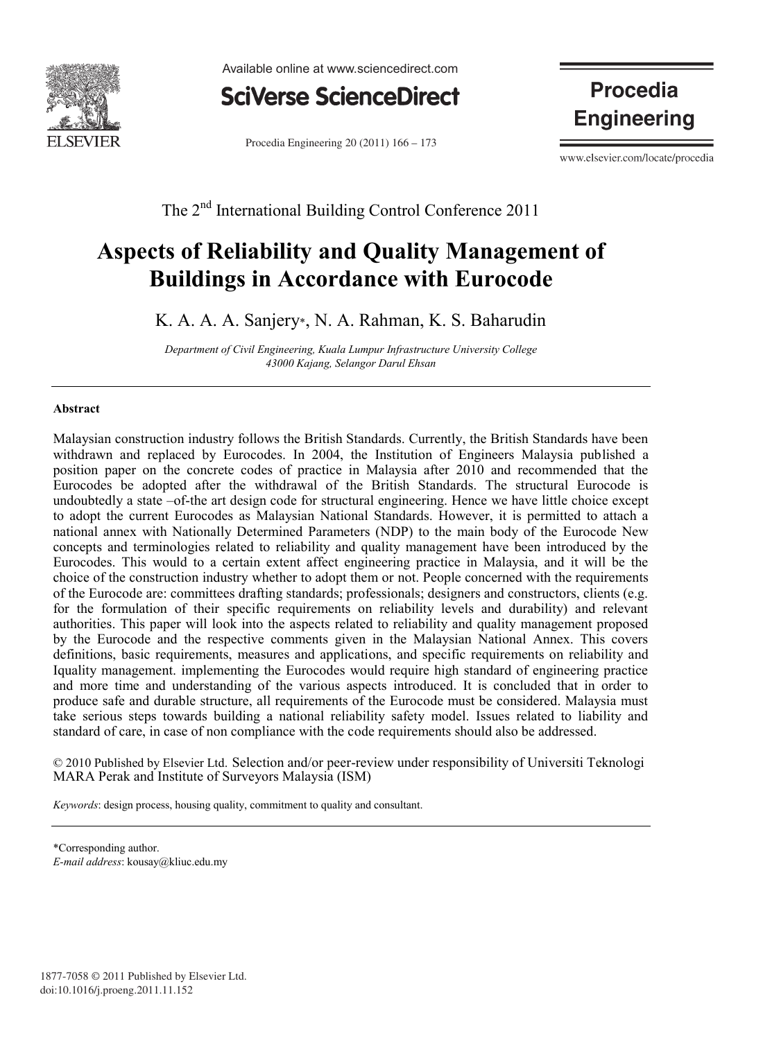

Available online at www.sciencedirect.com



Procedia Engineering  $20(2011) 166 - 173$ 

**Procedia Engineering** 

www.elsevier.com/locate/procedia

The 2<sup>nd</sup> International Building Control Conference 2011

# **Aspects of Reliability and Quality Management of Buildings in Accordance with Eurocode**

K. A. A. A. Sanjery\*, N. A. Rahman, K. S. Baharudin

*Department of Civil Engineering, Kuala Lumpur Infrastructure University College 43000 Kajang, Selangor Darul Ehsan*

### **Abstract**

Malaysian construction industry follows the British Standards. Currently, the British Standards have been withdrawn and replaced by Eurocodes. In 2004, the Institution of Engineers Malaysia published a position paper on the concrete codes of practice in Malaysia after 2010 and recommended that the Eurocodes be adopted after the withdrawal of the British Standards. The structural Eurocode is undoubtedly a state –of-the art design code for structural engineering. Hence we have little choice except to adopt the current Eurocodes as Malaysian National Standards. However, it is permitted to attach a national annex with Nationally Determined Parameters (NDP) to the main body of the Eurocode New concepts and terminologies related to reliability and quality management have been introduced by the Eurocodes. This would to a certain extent affect engineering practice in Malaysia, and it will be the choice of the construction industry whether to adopt them or not. People concerned with the requirements of the Eurocode are: committees drafting standards; professionals; designers and constructors, clients (e.g. for the formulation of their specific requirements on reliability levels and durability) and relevant authorities. This paper will look into the aspects related to reliability and quality management proposed by the Eurocode and the respective comments given in the Malaysian National Annex. This covers definitions, basic requirements, measures and applications, and specific requirements on reliability and Iquality management. implementing the Eurocodes would require high standard of engineering practice and more time and understanding of the various aspects introduced. It is concluded that in order to produce safe and durable structure, all requirements of the Eurocode must be considered. Malaysia must take serious steps towards building a national reliability safety model. Issues related to liability and standard of care, in case of non compliance with the code requirements should also be addressed.

© 2010 Published by Elsevier Ltd. Selection and/or peer-review under responsibility of Universiti Teknologi MARA Perak and Institute of Surveyors Malaysia (ISM)

*Keywords*: design process, housing quality, commitment to quality and consultant.

<sup>\*</sup>Corresponding author. *E-mail address*: kousay@kliuc.edu.my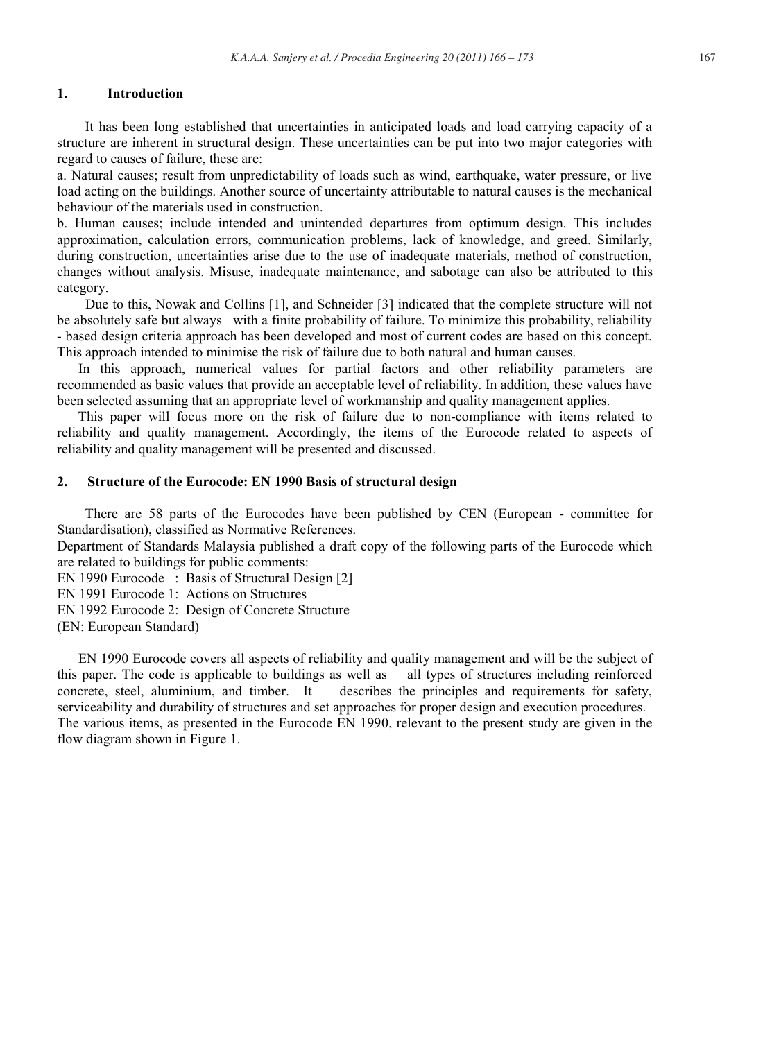#### **1. Introduction**

 It has been long established that uncertainties in anticipated loads and load carrying capacity of a structure are inherent in structural design. These uncertainties can be put into two major categories with regard to causes of failure, these are:

a. Natural causes; result from unpredictability of loads such as wind, earthquake, water pressure, or live load acting on the buildings. Another source of uncertainty attributable to natural causes is the mechanical behaviour of the materials used in construction.

b. Human causes; include intended and unintended departures from optimum design. This includes approximation, calculation errors, communication problems, lack of knowledge, and greed. Similarly, during construction, uncertainties arise due to the use of inadequate materials, method of construction, changes without analysis. Misuse, inadequate maintenance, and sabotage can also be attributed to this category.

 Due to this, Nowak and Collins [1], and Schneider [3] indicated that the complete structure will not be absolutely safe but always with a finite probability of failure. To minimize this probability, reliability - based design criteria approach has been developed and most of current codes are based on this concept. This approach intended to minimise the risk of failure due to both natural and human causes.

 In this approach, numerical values for partial factors and other reliability parameters are recommended as basic values that provide an acceptable level of reliability. In addition, these values have been selected assuming that an appropriate level of workmanship and quality management applies.

 This paper will focus more on the risk of failure due to non-compliance with items related to reliability and quality management. Accordingly, the items of the Eurocode related to aspects of reliability and quality management will be presented and discussed.

#### **2. Structure of the Eurocode: EN 1990 Basis of structural design**

 There are 58 parts of the Eurocodes have been published by CEN (European - committee for Standardisation), classified as Normative References.

Department of Standards Malaysia published a draft copy of the following parts of the Eurocode which are related to buildings for public comments:

EN 1990 Eurocode : Basis of Structural Design [2]

EN 1991 Eurocode 1: Actions on Structures

EN 1992 Eurocode 2: Design of Concrete Structure

(EN: European Standard)

EN 1990 Eurocode covers all aspects of reliability and quality management and will be the subject of paper. The code is applicable to buildings as well as all types of structures including reinforced this paper. The code is applicable to buildings as well as concrete, steel, aluminium, and timber. It describes the principles and requirements for safety, serviceability and durability of structures and set approaches for proper design and execution procedures. The various items, as presented in the Eurocode EN 1990, relevant to the present study are given in the flow diagram shown in Figure 1.